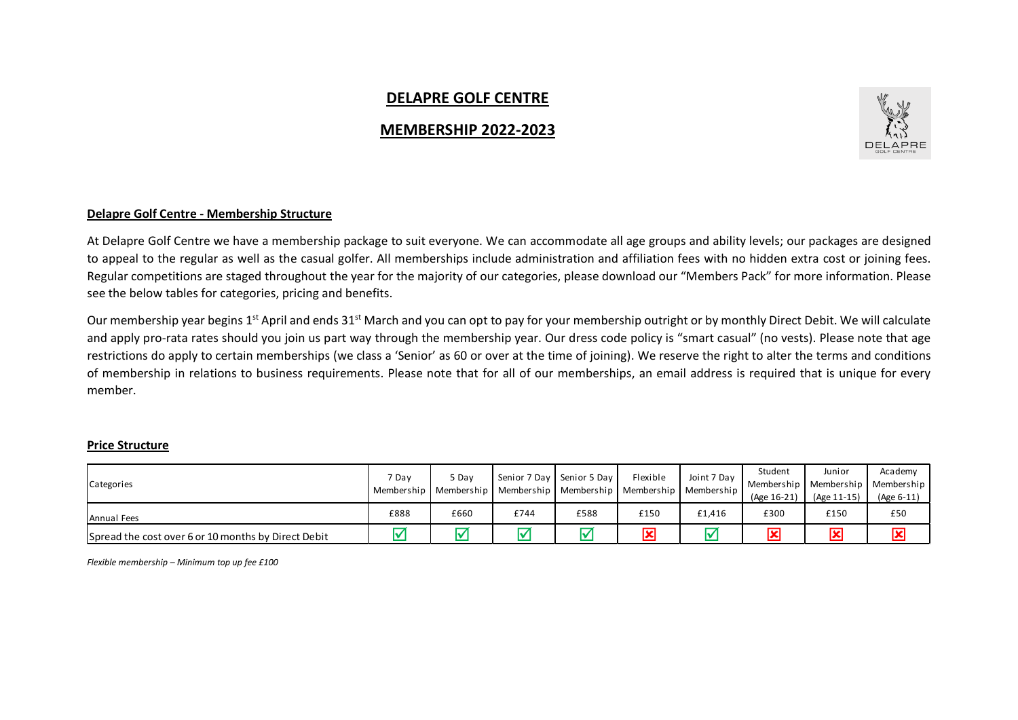# **DELAPRE GOLF CENTRE**

## **MEMBERSHIP 2022-2023**



### **Delapre Golf Centre - Membership Structure**

At Delapre Golf Centre we have a membership package to suit everyone. We can accommodate all age groups and ability levels; our packages are designed to appeal to the regular as well as the casual golfer. All memberships include administration and affiliation fees with no hidden extra cost or joining fees. Regular competitions are staged throughout the year for the majority of our categories, please download our "Members Pack" for more information. Please see the below tables for categories, pricing and benefits.

Our membership year begins 1<sup>st</sup> April and ends 31<sup>st</sup> March and you can opt to pay for your membership outright or by monthly Direct Debit. We will calculate and apply pro-rata rates should you join us part way through the membership year. Our dress code policy is "smart casual" (no vests). Please note that age restrictions do apply to certain memberships (we class a 'Senior' as 60 or over at the time of joining). We reserve the right to alter the terms and conditions of membership in relations to business requirements. Please note that for all of our memberships, an email address is required that is unique for every member.

#### **Price Structure**

| Categories                                          | 7 Day | 5 Day | Membership   Membership   Membership   Membership   Membership | Senior 7 Day   Senior 5 Day | Flexible                | Joint 7 Dav<br>Membership | Student<br>(Age 16-21) | Junior<br>Membership   Membership   Membership  <br>(Age 11-15) | Academy           |
|-----------------------------------------------------|-------|-------|----------------------------------------------------------------|-----------------------------|-------------------------|---------------------------|------------------------|-----------------------------------------------------------------|-------------------|
| Annual Fees                                         | £888  | £660  | £744                                                           | £588                        | £150                    | £1.416                    | £300                   | £150                                                            | (Age 6-11)<br>£50 |
| Spread the cost over 6 or 10 months by Direct Debit |       |       |                                                                |                             | $\overline{\mathbf{x}}$ |                           |                        | $\overline{\mathbf{x}}$                                         | 図                 |

*Flexible membership – Minimum top up fee £100*